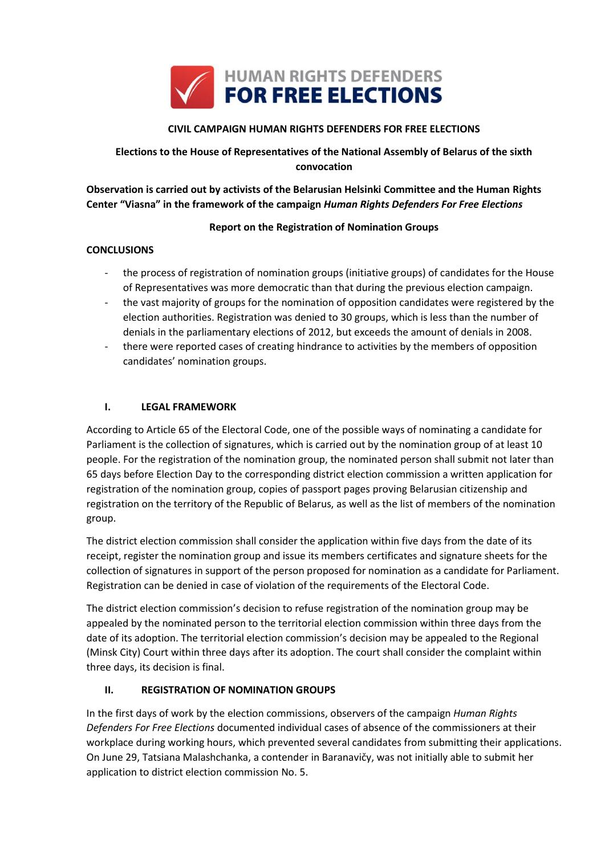

## **CIVIL CAMPAIGN HUMAN RIGHTS DEFENDERS FOR FREE ELECTIONS**

# **Elections to the House of Representatives of the National Assembly of Belarus of the sixth convocation**

**Observation is carried out by activists of the Belarusian Helsinki Committee and the Human Rights Center "Viasna" in the framework of the campaign** *Human Rights Defenders For Free Elections*

## **Report on the Registration of Nomination Groups**

## **CONCLUSIONS**

- the process of registration of nomination groups (initiative groups) of candidates for the House of Representatives was more democratic than that during the previous election campaign.
- the vast majority of groups for the nomination of opposition candidates were registered by the election authorities. Registration was denied to 30 groups, which is less than the number of denials in the parliamentary elections of 2012, but exceeds the amount of denials in 2008.
- there were reported cases of creating hindrance to activities by the members of opposition candidates' nomination groups.

## **I. LEGAL FRAMEWORK**

According to Article 65 of the Electoral Code, one of the possible ways of nominating a candidate for Parliament is the collection of signatures, which is carried out by the nomination group of at least 10 people. For the registration of the nomination group, the nominated person shall submit not later than 65 days before Election Day to the corresponding district election commission a written application for registration of the nomination group, copies of passport pages proving Belarusian citizenship and registration on the territory of the Republic of Belarus, as well as the list of members of the nomination group.

The district election commission shall consider the application within five days from the date of its receipt, register the nomination group and issue its members certificates and signature sheets for the collection of signatures in support of the person proposed for nomination as a candidate for Parliament. Registration can be denied in case of violation of the requirements of the Electoral Code.

The district election commission's decision to refuse registration of the nomination group may be appealed by the nominated person to the territorial election commission within three days from the date of its adoption. The territorial election commission's decision may be appealed to the Regional (Minsk City) Court within three days after its adoption. The court shall consider the complaint within three days, its decision is final.

## **II. REGISTRATION OF NOMINATION GROUPS**

In the first days of work by the election commissions, observers of the campaign *Human Rights Defenders For Free Elections* documented individual cases of absence of the commissioners at their workplace during working hours, which prevented several candidates from submitting their applications. On June 29, Tatsiana Malashchanka, a contender in Baranavičy, was not initially able to submit her application to district election commission No. 5.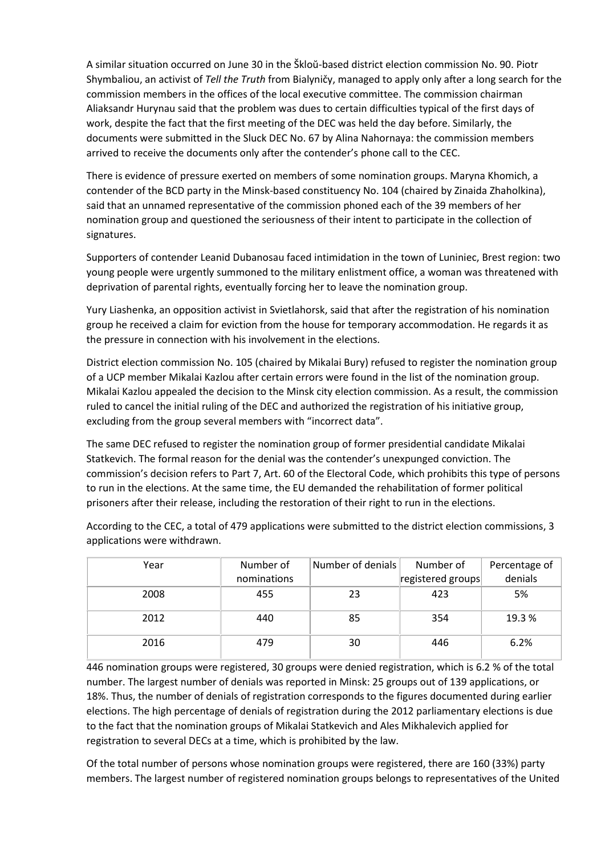A similar situation occurred on June 30 in the Škloŭ-based district election commission No. 90. Piotr Shymbaliou, an activist of *Tell the Truth* from Bialyničy, managed to apply only after a long search for the commission members in the offices of the local executive committee. The commission chairman Aliaksandr Hurynau said that the problem was dues to certain difficulties typical of the first days of work, despite the fact that the first meeting of the DEC was held the day before. Similarly, the documents were submitted in the Sluck DEC No. 67 by Alina Nahornaya: the commission members arrived to receive the documents only after the contender's phone call to the CEC.

There is evidence of pressure exerted on members of some nomination groups. Maryna Khomich, a contender of the BCD party in the Minsk-based constituency No. 104 (chaired by Zinaida Zhaholkina), said that an unnamed representative of the commission phoned each of the 39 members of her nomination group and questioned the seriousness of their intent to participate in the collection of signatures.

Supporters of contender Leanid Dubanosau faced intimidation in the town of Luniniec, Brest region: two young people were urgently summoned to the military enlistment office, a woman was threatened with deprivation of parental rights, eventually forcing her to leave the nomination group.

Yury Liashenka, an opposition activist in Svietlahorsk, said that after the registration of his nomination group he received a claim for eviction from the house for temporary accommodation. He regards it as the pressure in connection with his involvement in the elections.

District election commission No. 105 (chaired by Mikalai Bury) refused to register the nomination group of a UCP member Mikalai Kazlou after certain errors were found in the list of the nomination group. Mikalai Kazlou appealed the decision to the Minsk city election commission. As a result, the commission ruled to cancel the initial ruling of the DEC and authorized the registration of his initiative group, excluding from the group several members with "incorrect data".

The same DEC refused to register the nomination group of former presidential candidate Mikalai Statkevich. The formal reason for the denial was the contender's unexpunged conviction. The commission's decision refers to Part 7, Art. 60 of the Electoral Code, which prohibits this type of persons to run in the elections. At the same time, the EU demanded the rehabilitation of former political prisoners after their release, including the restoration of their right to run in the elections.

Year **Number of** nominations Number of denials Number of registered groups Percentage of denials 2008 455 23 423 5% 2012 440 85 354 19.3 % 2016 479 30 446 6.2%

According to the CEC, a total of 479 applications were submitted to the district election commissions, 3 applications were withdrawn.

446 nomination groups were registered, 30 groups were denied registration, which is 6.2 % of the total number. The largest number of denials was reported in Minsk: 25 groups out of 139 applications, or 18%. Thus, the number of denials of registration corresponds to the figures documented during earlier elections. The high percentage of denials of registration during the 2012 parliamentary elections is due to the fact that the nomination groups of Mikalai Statkevich and Ales Mikhalevich applied for registration to several DECs at a time, which is prohibited by the law.

Of the total number of persons whose nomination groups were registered, there are 160 (33%) party members. The largest number of registered nomination groups belongs to representatives of the United